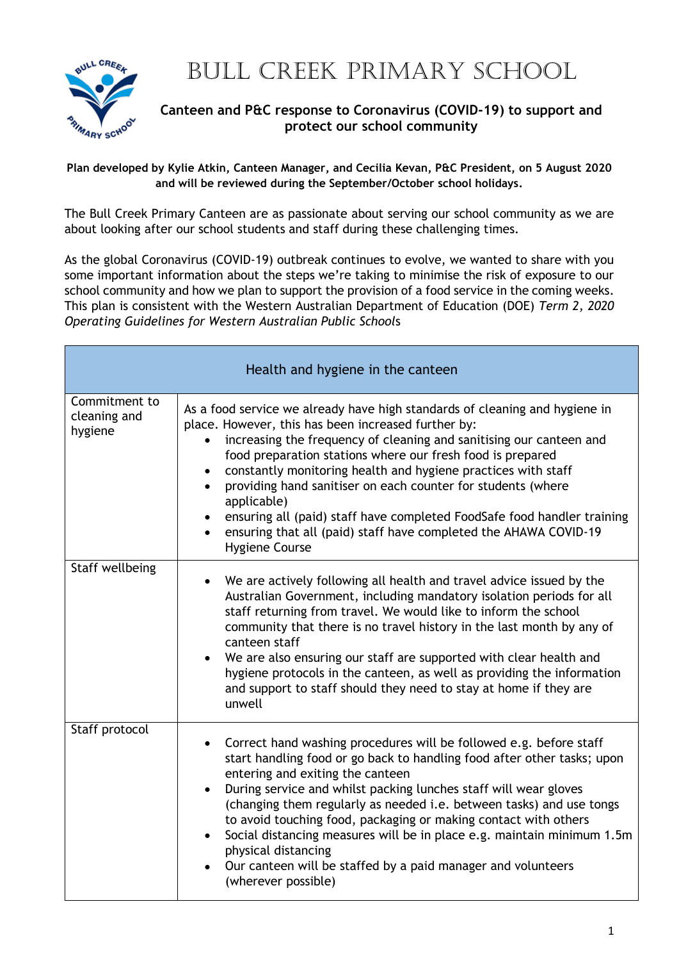

## BULL CREEK PRIMARY SCHOOL

## **Canteen and P&C response to Coronavirus (COVID-19) to support and protect our school community**

**Plan developed by Kylie Atkin, Canteen Manager, and Cecilia Kevan, P&C President, on 5 August 2020 and will be reviewed during the September/October school holidays.**

The Bull Creek Primary Canteen are as passionate about serving our school community as we are about looking after our school students and staff during these challenging times.

As the global Coronavirus (COVID-19) outbreak continues to evolve, we wanted to share with you some important information about the steps we're taking to minimise the risk of exposure to our school community and how we plan to support the provision of a food service in the coming weeks. This plan is consistent with the Western Australian Department of Education (DOE) *Term 2, 2020 Operating Guidelines for Western Australian Public School*s

| Health and hygiene in the canteen        |                                                                                                                                                                                                                                                                                                                                                                                                                                                                                                                                                                                                              |
|------------------------------------------|--------------------------------------------------------------------------------------------------------------------------------------------------------------------------------------------------------------------------------------------------------------------------------------------------------------------------------------------------------------------------------------------------------------------------------------------------------------------------------------------------------------------------------------------------------------------------------------------------------------|
| Commitment to<br>cleaning and<br>hygiene | As a food service we already have high standards of cleaning and hygiene in<br>place. However, this has been increased further by:<br>increasing the frequency of cleaning and sanitising our canteen and<br>food preparation stations where our fresh food is prepared<br>constantly monitoring health and hygiene practices with staff<br>$\bullet$<br>providing hand sanitiser on each counter for students (where<br>applicable)<br>ensuring all (paid) staff have completed FoodSafe food handler training<br>ensuring that all (paid) staff have completed the AHAWA COVID-19<br><b>Hygiene Course</b> |
| Staff wellbeing                          | We are actively following all health and travel advice issued by the<br>$\bullet$<br>Australian Government, including mandatory isolation periods for all<br>staff returning from travel. We would like to inform the school<br>community that there is no travel history in the last month by any of<br>canteen staff<br>We are also ensuring our staff are supported with clear health and<br>hygiene protocols in the canteen, as well as providing the information<br>and support to staff should they need to stay at home if they are<br>unwell                                                        |
| Staff protocol                           | Correct hand washing procedures will be followed e.g. before staff<br>start handling food or go back to handling food after other tasks; upon<br>entering and exiting the canteen<br>During service and whilst packing lunches staff will wear gloves<br>$\bullet$<br>(changing them regularly as needed i.e. between tasks) and use tongs<br>to avoid touching food, packaging or making contact with others<br>Social distancing measures will be in place e.g. maintain minimum 1.5m<br>physical distancing<br>Our canteen will be staffed by a paid manager and volunteers<br>(wherever possible)        |